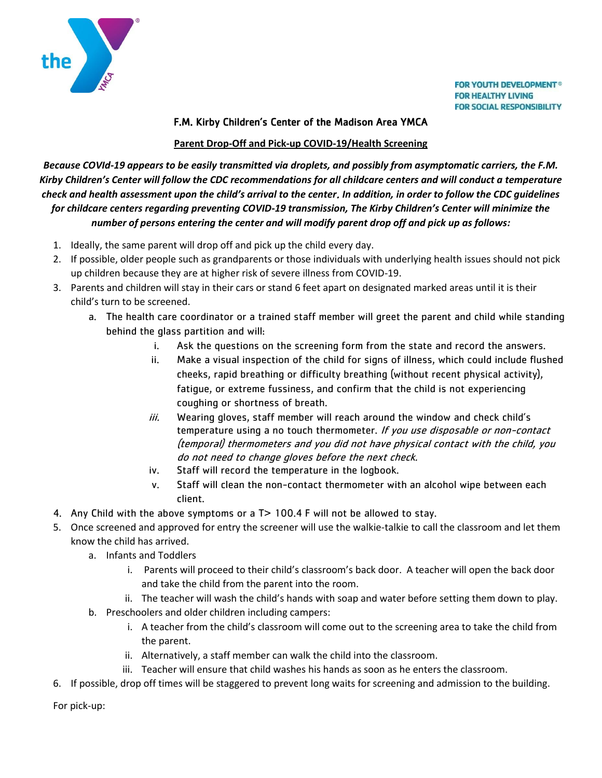

## F.M. Kirby Children's Center of the Madison Area YMCA

## **Parent Drop-Off and Pick-up COVID-19/Health Screening**

*Because COVId-19 appears to be easily transmitted via droplets, and possibly from asymptomatic carriers, the F.M. Kirby Children's Center will follow the CDC recommendations for all childcare centers and will conduct a temperature check and health assessment upon the child's arrival to the center*. *In addition, in order to follow the CDC guidelines for childcare centers regarding preventing COVID-19 transmission, The Kirby Children's Center will minimize the number of persons entering the center and will modify parent drop off and pick up as follows:*

- 1. Ideally, the same parent will drop off and pick up the child every day.
- 2. If possible, older people such as grandparents or those individuals with underlying health issues should not pick up children because they are at higher risk of severe illness from COVID-19.
- 3. Parents and children will stay in their cars or stand 6 feet apart on designated marked areas until it is their child's turn to be screened.
	- a. The health care coordinator or a trained staff member will greet the parent and child while standing behind the glass partition and will:
		- i. Ask the questions on the screening form from the state and record the answers.
		- ii. Make a visual inspection of the child for signs of illness, which could include flushed cheeks, rapid breathing or difficulty breathing (without recent physical activity), fatigue, or extreme fussiness, and confirm that the child is not experiencing coughing or shortness of breath.
		- iii. Wearing gloves, staff member will reach around the window and check child's temperature using a no touch thermometer. If you use disposable or non-contact (temporal) thermometers and you did not have physical contact with the child, you do not need to change gloves before the next check.
		- iv. Staff will record the temperature in the logbook.
		- v. Staff will clean the non-contact thermometer with an alcohol wipe between each client.
- 4. Any Child with the above symptoms or a T> 100.4 F will not be allowed to stay.
- 5. Once screened and approved for entry the screener will use the walkie-talkie to call the classroom and let them know the child has arrived.
	- a. Infants and Toddlers
		- i. Parents will proceed to their child's classroom's back door. A teacher will open the back door and take the child from the parent into the room.
	- ii. The teacher will wash the child's hands with soap and water before setting them down to play.
	- b. Preschoolers and older children including campers:
		- i. A teacher from the child's classroom will come out to the screening area to take the child from the parent.
		- ii. Alternatively, a staff member can walk the child into the classroom.
		- iii. Teacher will ensure that child washes his hands as soon as he enters the classroom.
- 6. If possible, drop off times will be staggered to prevent long waits for screening and admission to the building.

For pick-up: